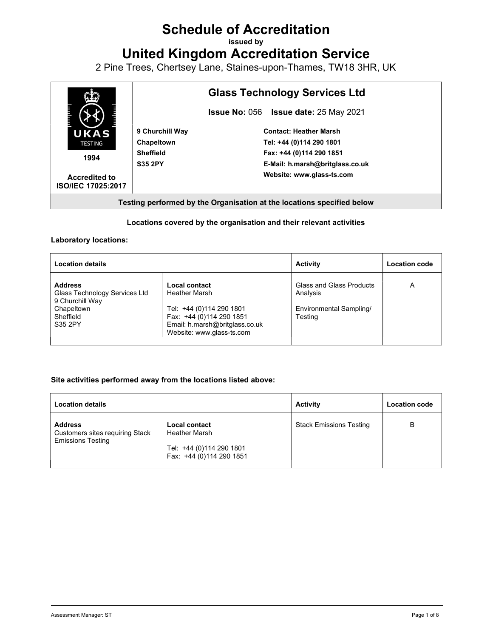# Schedule of Accreditation

issued by

United Kingdom Accreditation Service

2 Pine Trees, Chertsey Lane, Staines-upon-Thames, TW18 3HR, UK



#### Locations covered by the organisation and their relevant activities

#### Laboratory locations:

| <b>Location details</b>                                                                                  |                                                                                                                                                       | <b>Activity</b>                                                            | Location code |
|----------------------------------------------------------------------------------------------------------|-------------------------------------------------------------------------------------------------------------------------------------------------------|----------------------------------------------------------------------------|---------------|
| <b>Address</b><br>Glass Technology Services Ltd<br>9 Churchill Way<br>Chapeltown<br>Sheffield<br>S35 2PY | Local contact<br>Heather Marsh<br>Tel: +44 (0)114 290 1801<br>Fax: +44 (0)114 290 1851<br>Email: h.marsh@britglass.co.uk<br>Website: www.glass-ts.com | Glass and Glass Products<br>Analysis<br>Environmental Sampling/<br>Testing | Α             |

#### Site activities performed away from the locations listed above:

| <b>Location details</b>                                                              |                                                      | <b>Activity</b>                | <b>Location code</b> |
|--------------------------------------------------------------------------------------|------------------------------------------------------|--------------------------------|----------------------|
| <b>Address</b><br><b>Customers sites requiring Stack</b><br><b>Emissions Testing</b> | <b>Local contact</b><br>Heather Marsh                | <b>Stack Emissions Testing</b> | в                    |
|                                                                                      | Tel: +44 (0)114 290 1801<br>Fax: +44 (0)114 290 1851 |                                |                      |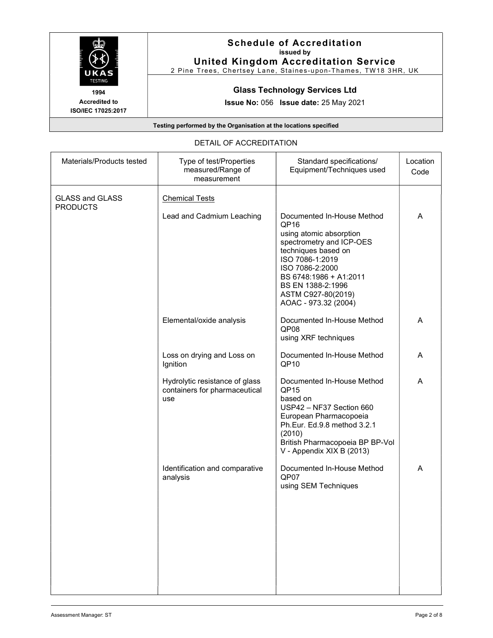

#### Schedule of Accreditation issued by United Kingdom Accreditation Service

2 Pine Trees, Chertsey Lane, Staines-upon-Thames, TW18 3HR, UK

# Glass Technology Services Ltd

Issue No: 056 Issue date: 25 May 2021

Testing performed by the Organisation at the locations specified

#### DETAIL OF ACCREDITATION

| Type of test/Properties<br>measured/Range of<br>measurement            | Standard specifications/<br>Equipment/Techniques used                                                                                                                                                                             | Location<br>Code           |
|------------------------------------------------------------------------|-----------------------------------------------------------------------------------------------------------------------------------------------------------------------------------------------------------------------------------|----------------------------|
| <b>Chemical Tests</b>                                                  |                                                                                                                                                                                                                                   |                            |
|                                                                        | QP <sub>16</sub><br>using atomic absorption<br>spectrometry and ICP-OES<br>techniques based on<br>ISO 7086-1:2019<br>ISO 7086-2:2000<br>BS 6748:1986 + A1:2011<br>BS EN 1388-2:1996<br>ASTM C927-80(2019)<br>AOAC - 973.32 (2004) | A                          |
| Elemental/oxide analysis                                               | Documented In-House Method<br>QP08<br>using XRF techniques                                                                                                                                                                        | A                          |
| Loss on drying and Loss on<br>Ignition                                 | Documented In-House Method<br>QP <sub>10</sub>                                                                                                                                                                                    | A                          |
| Hydrolytic resistance of glass<br>containers for pharmaceutical<br>use | Documented In-House Method<br>QP <sub>15</sub><br>based on<br>USP42 - NF37 Section 660<br>European Pharmacopoeia<br>Ph.Eur. Ed.9.8 method 3.2.1<br>(2010)<br>British Pharmacopoeia BP BP-Vol<br>V - Appendix XIX B (2013)         | A                          |
| Identification and comparative<br>analysis                             | Documented In-House Method<br>QP07<br>using SEM Techniques                                                                                                                                                                        | A                          |
|                                                                        | Lead and Cadmium Leaching                                                                                                                                                                                                         | Documented In-House Method |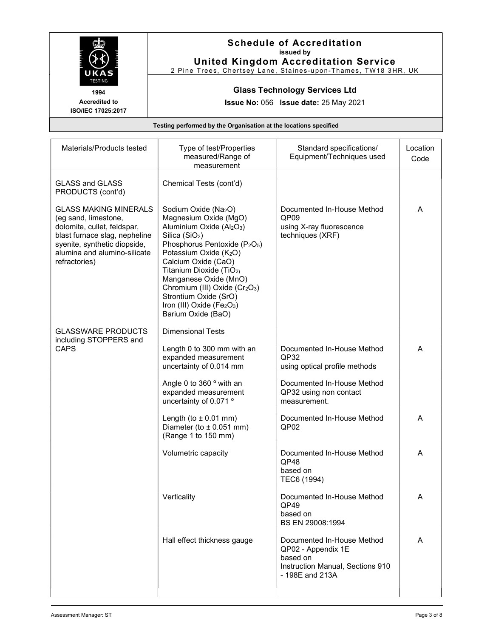

# Schedule of Accreditation issued by United Kingdom Accreditation Service

2 Pine Trees, Chertsey Lane, Staines-upon-Thames, TW18 3HR, UK

# Glass Technology Services Ltd

Issue No: 056 Issue date: 25 May 2021

| Materials/Products tested                                                                                                                                                                             | Type of test/Properties<br>measured/Range of<br>measurement                                                                                                                                                                                                                                                                                                                                                                      | Standard specifications/<br>Equipment/Techniques used                                                               | Location<br>Code |
|-------------------------------------------------------------------------------------------------------------------------------------------------------------------------------------------------------|----------------------------------------------------------------------------------------------------------------------------------------------------------------------------------------------------------------------------------------------------------------------------------------------------------------------------------------------------------------------------------------------------------------------------------|---------------------------------------------------------------------------------------------------------------------|------------------|
| <b>GLASS and GLASS</b><br>PRODUCTS (cont'd)                                                                                                                                                           | Chemical Tests (cont'd)                                                                                                                                                                                                                                                                                                                                                                                                          |                                                                                                                     |                  |
| <b>GLASS MAKING MINERALS</b><br>(eg sand, limestone,<br>dolomite, cullet, feldspar,<br>blast furnace slag, nepheline<br>syenite, synthetic diopside,<br>alumina and alumino-silicate<br>refractories) | Sodium Oxide (Na <sub>2</sub> O)<br>Magnesium Oxide (MgO)<br>Aluminium Oxide (Al2O3)<br>Silica (SiO <sub>2</sub> )<br>Phosphorus Pentoxide (P <sub>2</sub> O <sub>5</sub> )<br>Potassium Oxide (K2O)<br>Calcium Oxide (CaO)<br>Titanium Dioxide (TiO <sub>2)</sub><br>Manganese Oxide (MnO)<br>Chromium (III) Oxide (Cr <sub>2</sub> O <sub>3</sub> )<br>Strontium Oxide (SrO)<br>Iron (III) Oxide (Fe2O3)<br>Barium Oxide (BaO) | Documented In-House Method<br>QP <sub>09</sub><br>using X-ray fluorescence<br>techniques (XRF)                      | A                |
| <b>GLASSWARE PRODUCTS</b><br>including STOPPERS and                                                                                                                                                   | Dimensional Tests                                                                                                                                                                                                                                                                                                                                                                                                                |                                                                                                                     |                  |
| <b>CAPS</b>                                                                                                                                                                                           | Length 0 to 300 mm with an<br>expanded measurement<br>uncertainty of 0.014 mm                                                                                                                                                                                                                                                                                                                                                    | Documented In-House Method<br>QP32<br>using optical profile methods                                                 | A                |
|                                                                                                                                                                                                       | Angle 0 to 360 ° with an<br>expanded measurement<br>uncertainty of 0.071 °                                                                                                                                                                                                                                                                                                                                                       | Documented In-House Method<br>QP32 using non contact<br>measurement.                                                |                  |
|                                                                                                                                                                                                       | Length (to $\pm$ 0.01 mm)<br>Diameter (to $\pm$ 0.051 mm)<br>(Range 1 to 150 mm)                                                                                                                                                                                                                                                                                                                                                 | Documented In-House Method<br>QP02                                                                                  | A                |
|                                                                                                                                                                                                       | Volumetric capacity                                                                                                                                                                                                                                                                                                                                                                                                              | Documented In-House Method<br>QP48<br>based on<br>TEC6 (1994)                                                       | A                |
|                                                                                                                                                                                                       | Verticality                                                                                                                                                                                                                                                                                                                                                                                                                      | Documented In-House Method<br>QP49<br>based on<br>BS EN 29008:1994                                                  | A                |
|                                                                                                                                                                                                       | Hall effect thickness gauge                                                                                                                                                                                                                                                                                                                                                                                                      | Documented In-House Method<br>QP02 - Appendix 1E<br>based on<br>Instruction Manual, Sections 910<br>- 198E and 213A | A                |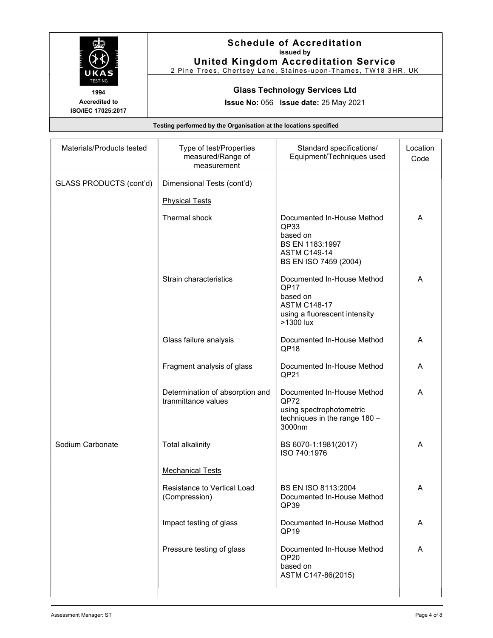

# Schedule of Accreditation issued by United Kingdom Accreditation Service

2 Pine Trees, Chertsey Lane, Staines-upon-Thames, TW18 3HR, UK

### Glass Technology Services Ltd

Issue No: 056 Issue date: 25 May 2021

| Materials/Products tested | Type of test/Properties<br>measured/Range of<br>measurement | Standard specifications/<br>Equipment/Techniques used                                                               | Location<br>Code |
|---------------------------|-------------------------------------------------------------|---------------------------------------------------------------------------------------------------------------------|------------------|
| GLASS PRODUCTS (cont'd)   | Dimensional Tests (cont'd)                                  |                                                                                                                     |                  |
|                           | <b>Physical Tests</b>                                       |                                                                                                                     |                  |
|                           | Thermal shock                                               | Documented In-House Method<br>QP33<br>based on<br>BS EN 1183:1997<br><b>ASTM C149-14</b><br>BS EN ISO 7459 (2004)   | A                |
|                           | Strain characteristics                                      | Documented In-House Method<br>QP17<br>based on<br><b>ASTM C148-17</b><br>using a fluorescent intensity<br>>1300 lux | A                |
|                           | Glass failure analysis                                      | Documented In-House Method<br>QP <sub>18</sub>                                                                      | A                |
|                           | Fragment analysis of glass                                  | Documented In-House Method<br>QP21                                                                                  | A                |
|                           | Determination of absorption and<br>tranmittance values      | Documented In-House Method<br>QP72<br>using spectrophotometric<br>techniques in the range 180 -<br>3000nm           | A                |
| Sodium Carbonate          | <b>Total alkalinity</b>                                     | BS 6070-1:1981(2017)<br>ISO 740:1976                                                                                | A                |
|                           | <b>Mechanical Tests</b>                                     |                                                                                                                     |                  |
|                           | Resistance to Vertical Load<br>(Compression)                | BS EN ISO 8113:2004<br>Documented In-House Method<br>QP39                                                           | A                |
|                           | Impact testing of glass                                     | Documented In-House Method<br>QP <sub>19</sub>                                                                      | A                |
|                           | Pressure testing of glass                                   | Documented In-House Method<br>QP <sub>20</sub><br>based on<br>ASTM C147-86(2015)                                    | A                |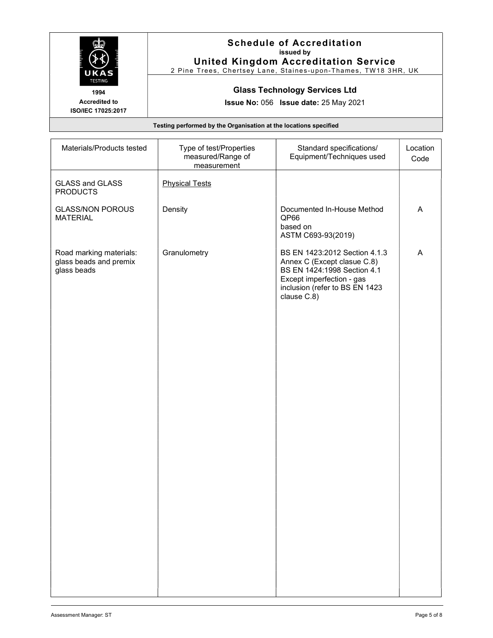| UKAS                                                             | <b>Schedule of Accreditation</b><br>issued by<br><b>United Kingdom Accreditation Service</b><br>2 Pine Trees, Chertsey Lane, Staines-upon-Thames, TW18 3HR, UK |  |
|------------------------------------------------------------------|----------------------------------------------------------------------------------------------------------------------------------------------------------------|--|
| <b>TESTING</b><br>1994<br>Accredited to                          | <b>Glass Technology Services Ltd</b>                                                                                                                           |  |
| ISO/IEC 17025:2017                                               | <b>Issue No: 056 Issue date: 25 May 2021</b>                                                                                                                   |  |
| Testing performed by the Organisation at the locations specified |                                                                                                                                                                |  |

| Materials/Products tested                                        | Type of test/Properties<br>measured/Range of<br>measurement | Standard specifications/<br>Equipment/Techniques used                                                                                                                     | Location<br>Code |
|------------------------------------------------------------------|-------------------------------------------------------------|---------------------------------------------------------------------------------------------------------------------------------------------------------------------------|------------------|
| <b>GLASS and GLASS</b><br><b>PRODUCTS</b>                        | <b>Physical Tests</b>                                       |                                                                                                                                                                           |                  |
| <b>GLASS/NON POROUS</b><br><b>MATERIAL</b>                       | Density                                                     | Documented In-House Method<br>QP66<br>based on<br>ASTM C693-93(2019)                                                                                                      | A                |
| Road marking materials:<br>glass beads and premix<br>glass beads | Granulometry                                                | BS EN 1423:2012 Section 4.1.3<br>Annex C (Except clasue C.8)<br>BS EN 1424:1998 Section 4.1<br>Except imperfection - gas<br>inclusion (refer to BS EN 1423<br>clause C.8) | A                |
|                                                                  |                                                             |                                                                                                                                                                           |                  |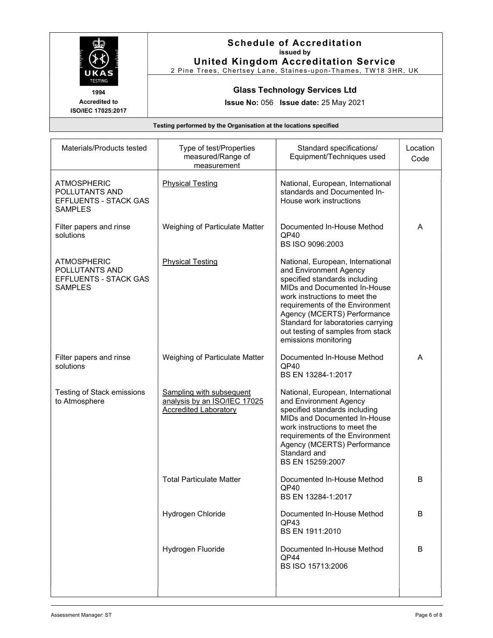

# Schedule of Accreditation issued by United Kingdom Accreditation Service

2 Pine Trees, Chertsey Lane, Staines-upon-Thames, TW18 3HR, UK

#### Glass Technology Services Ltd

Issue No: 056 Issue date: 25 May 2021

| Materials/Products tested                                                              | Type of test/Properties<br>measured/Range of<br>measurement                                     | Standard specifications/<br>Equipment/Techniques used                                                                                                                                                                                                                                                                              | Location<br>Code |
|----------------------------------------------------------------------------------------|-------------------------------------------------------------------------------------------------|------------------------------------------------------------------------------------------------------------------------------------------------------------------------------------------------------------------------------------------------------------------------------------------------------------------------------------|------------------|
| <b>ATMOSPHERIC</b><br>POLLUTANTS AND<br>EFFLUENTS - STACK GAS<br><b>SAMPLES</b>        | <b>Physical Testing</b>                                                                         | National, European, International<br>standards and Documented In-<br>House work instructions                                                                                                                                                                                                                                       |                  |
| Filter papers and rinse<br>solutions                                                   | Weighing of Particulate Matter                                                                  | Documented In-House Method<br>QP40<br>BS ISO 9096:2003                                                                                                                                                                                                                                                                             | A                |
| <b>ATMOSPHERIC</b><br>POLLUTANTS AND<br><b>EFFLUENTS - STACK GAS</b><br><b>SAMPLES</b> | <b>Physical Testing</b>                                                                         | National, European, International<br>and Environment Agency<br>specified standards including<br>MIDs and Documented In-House<br>work instructions to meet the<br>requirements of the Environment<br>Agency (MCERTS) Performance<br>Standard for laboratories carrying<br>out testing of samples from stack<br>emissions monitoring |                  |
| Filter papers and rinse<br>solutions                                                   | Weighing of Particulate Matter                                                                  | Documented In-House Method<br>QP40<br>BS EN 13284-1:2017                                                                                                                                                                                                                                                                           | A                |
| <b>Testing of Stack emissions</b><br>to Atmosphere                                     | <b>Sampling with subsequent</b><br>analysis by an ISO/IEC 17025<br><b>Accredited Laboratory</b> | National, European, International<br>and Environment Agency<br>specified standards including<br>MIDs and Documented In-House<br>work instructions to meet the<br>requirements of the Environment<br>Agency (MCERTS) Performance<br>Standard and<br>BS EN 15259:2007                                                                |                  |
|                                                                                        | <b>Total Particulate Matter</b>                                                                 | Documented In-House Method<br>QP40<br>BS EN 13284-1:2017                                                                                                                                                                                                                                                                           | B                |
|                                                                                        | Hydrogen Chloride                                                                               | Documented In-House Method<br>QP43<br>BS EN 1911:2010                                                                                                                                                                                                                                                                              | B                |
|                                                                                        | Hydrogen Fluoride                                                                               | Documented In-House Method<br>QP44<br>BS ISO 15713:2006                                                                                                                                                                                                                                                                            | B                |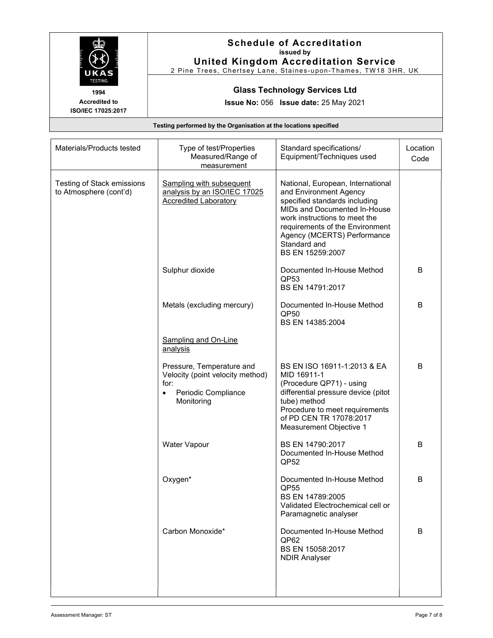

# Schedule of Accreditation issued by United Kingdom Accreditation Service

2 Pine Trees, Chertsey Lane, Staines-upon-Thames, TW18 3HR, UK

### Glass Technology Services Ltd

Issue No: 056 Issue date: 25 May 2021

| Materials/Products tested                            | Type of test/Properties<br>Measured/Range of<br>measurement                                                             | Standard specifications/<br>Equipment/Techniques used                                                                                                                                                                                                               | Location<br>Code |
|------------------------------------------------------|-------------------------------------------------------------------------------------------------------------------------|---------------------------------------------------------------------------------------------------------------------------------------------------------------------------------------------------------------------------------------------------------------------|------------------|
| Testing of Stack emissions<br>to Atmosphere (cont'd) | <b>Sampling with subsequent</b><br>analysis by an ISO/IEC 17025<br><b>Accredited Laboratory</b>                         | National, European, International<br>and Environment Agency<br>specified standards including<br>MIDs and Documented In-House<br>work instructions to meet the<br>requirements of the Environment<br>Agency (MCERTS) Performance<br>Standard and<br>BS EN 15259:2007 |                  |
|                                                      | Sulphur dioxide                                                                                                         | Documented In-House Method<br>QP <sub>53</sub><br>BS EN 14791:2017                                                                                                                                                                                                  | B                |
|                                                      | Metals (excluding mercury)                                                                                              | Documented In-House Method<br>QP50<br>BS EN 14385:2004                                                                                                                                                                                                              | B                |
|                                                      | <b>Sampling and On-Line</b><br>analysis                                                                                 |                                                                                                                                                                                                                                                                     |                  |
|                                                      | Pressure, Temperature and<br>Velocity (point velocity method)<br>for:<br>Periodic Compliance<br>$\bullet$<br>Monitoring | BS EN ISO 16911-1:2013 & EA<br>MID 16911-1<br>(Procedure QP71) - using<br>differential pressure device (pitot<br>tube) method<br>Procedure to meet requirements<br>of PD CEN TR 17078:2017<br>Measurement Objective 1                                               | B                |
|                                                      | Water Vapour                                                                                                            | BS EN 14790:2017<br>Documented In-House Method<br>QP52                                                                                                                                                                                                              | B                |
|                                                      | Oxygen*                                                                                                                 | Documented In-House Method<br>QP55<br>BS EN 14789:2005<br>Validated Electrochemical cell or<br>Paramagnetic analyser                                                                                                                                                | B                |
|                                                      | Carbon Monoxide*                                                                                                        | Documented In-House Method<br>QP62<br>BS EN 15058:2017<br><b>NDIR Analyser</b>                                                                                                                                                                                      | B                |
|                                                      |                                                                                                                         |                                                                                                                                                                                                                                                                     |                  |